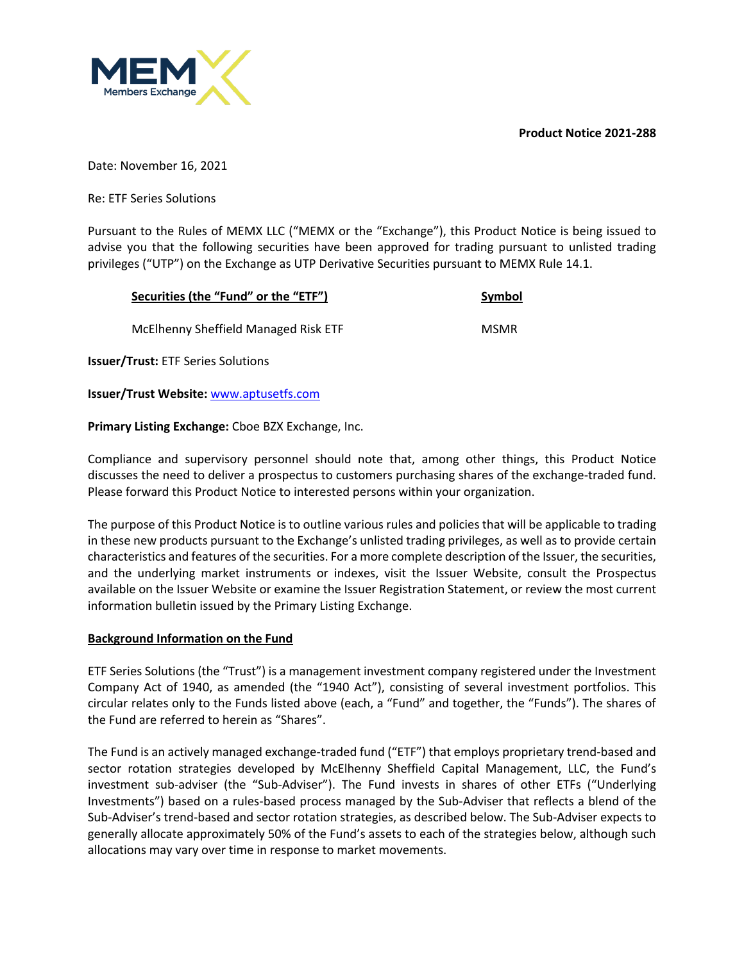**Product Notice 2021-288**



Date: November 16, 2021

Re: ETF Series Solutions

Pursuant to the Rules of MEMX LLC ("MEMX or the "Exchange"), this Product Notice is being issued to advise you that the following securities have been approved for trading pursuant to unlisted trading privileges ("UTP") on the Exchange as UTP Derivative Securities pursuant to MEMX Rule 14.1.

| Securities (the "Fund" or the "ETF")      | Symbol      |
|-------------------------------------------|-------------|
| McElhenny Sheffield Managed Risk ETF      | <b>MSMR</b> |
| <b>Issuer/Trust: ETF Series Solutions</b> |             |

**Issuer/Trust Website:** www.aptusetfs.com

# **Primary Listing Exchange:** Cboe BZX Exchange, Inc.

Compliance and supervisory personnel should note that, among other things, this Product Notice discusses the need to deliver a prospectus to customers purchasing shares of the exchange-traded fund. Please forward this Product Notice to interested persons within your organization.

The purpose of this Product Notice is to outline various rules and policies that will be applicable to trading in these new products pursuant to the Exchange's unlisted trading privileges, as well as to provide certain characteristics and features of the securities. For a more complete description of the Issuer, the securities, and the underlying market instruments or indexes, visit the Issuer Website, consult the Prospectus available on the Issuer Website or examine the Issuer Registration Statement, or review the most current information bulletin issued by the Primary Listing Exchange.

## **Background Information on the Fund**

ETF Series Solutions (the "Trust") is a management investment company registered under the Investment Company Act of 1940, as amended (the "1940 Act"), consisting of several investment portfolios. This circular relates only to the Funds listed above (each, a "Fund" and together, the "Funds"). The shares of the Fund are referred to herein as "Shares".

The Fund is an actively managed exchange-traded fund ("ETF") that employs proprietary trend-based and sector rotation strategies developed by McElhenny Sheffield Capital Management, LLC, the Fund's investment sub-adviser (the "Sub-Adviser"). The Fund invests in shares of other ETFs ("Underlying Investments") based on a rules-based process managed by the Sub-Adviser that reflects a blend of the Sub-Adviser's trend-based and sector rotation strategies, as described below. The Sub-Adviser expects to generally allocate approximately 50% of the Fund's assets to each of the strategies below, although such allocations may vary over time in response to market movements.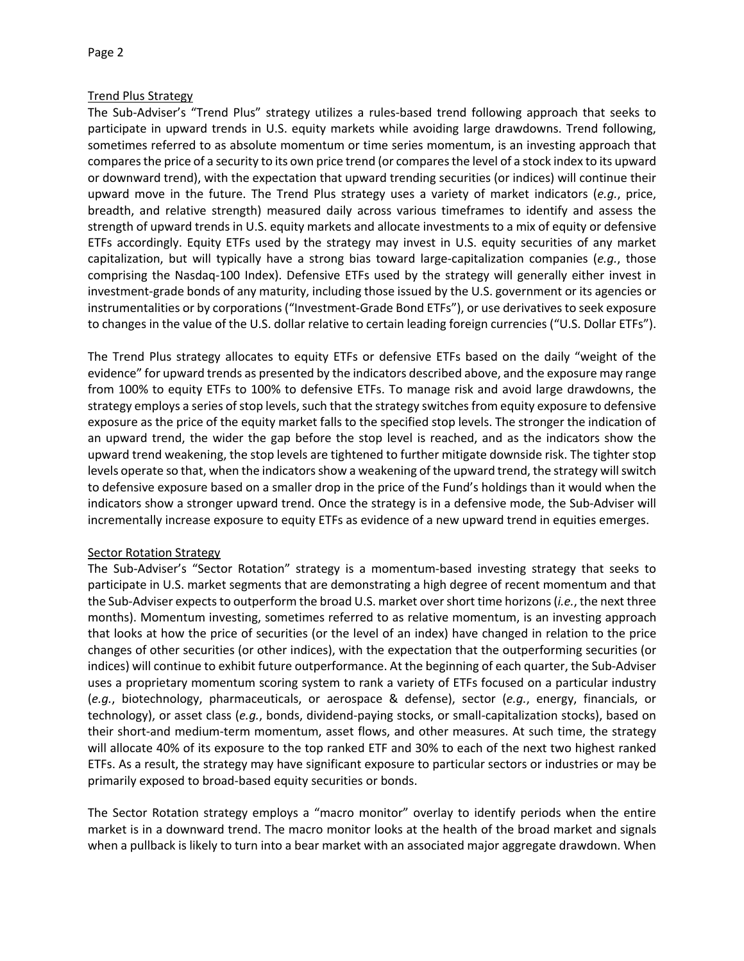#### Page 2

## Trend Plus Strategy

The Sub-Adviser's "Trend Plus" strategy utilizes a rules-based trend following approach that seeks to participate in upward trends in U.S. equity markets while avoiding large drawdowns. Trend following, sometimes referred to as absolute momentum or time series momentum, is an investing approach that compares the price of a security to its own price trend (or compares the level of a stock index to its upward or downward trend), with the expectation that upward trending securities (or indices) will continue their upward move in the future. The Trend Plus strategy uses a variety of market indicators (*e.g.*, price, breadth, and relative strength) measured daily across various timeframes to identify and assess the strength of upward trends in U.S. equity markets and allocate investments to a mix of equity or defensive ETFs accordingly. Equity ETFs used by the strategy may invest in U.S. equity securities of any market capitalization, but will typically have a strong bias toward large-capitalization companies (*e.g.*, those comprising the Nasdaq-100 Index). Defensive ETFs used by the strategy will generally either invest in investment-grade bonds of any maturity, including those issued by the U.S. government or its agencies or instrumentalities or by corporations ("Investment-Grade Bond ETFs"), or use derivatives to seek exposure to changes in the value of the U.S. dollar relative to certain leading foreign currencies ("U.S. Dollar ETFs").

The Trend Plus strategy allocates to equity ETFs or defensive ETFs based on the daily "weight of the evidence" for upward trends as presented by the indicators described above, and the exposure may range from 100% to equity ETFs to 100% to defensive ETFs. To manage risk and avoid large drawdowns, the strategy employs a series of stop levels, such that the strategy switches from equity exposure to defensive exposure as the price of the equity market falls to the specified stop levels. The stronger the indication of an upward trend, the wider the gap before the stop level is reached, and as the indicators show the upward trend weakening, the stop levels are tightened to further mitigate downside risk. The tighter stop levels operate so that, when the indicators show a weakening of the upward trend, the strategy will switch to defensive exposure based on a smaller drop in the price of the Fund's holdings than it would when the indicators show a stronger upward trend. Once the strategy is in a defensive mode, the Sub-Adviser will incrementally increase exposure to equity ETFs as evidence of a new upward trend in equities emerges.

## Sector Rotation Strategy

The Sub-Adviser's "Sector Rotation" strategy is a momentum-based investing strategy that seeks to participate in U.S. market segments that are demonstrating a high degree of recent momentum and that the Sub-Adviser expects to outperform the broad U.S. market over short time horizons (*i.e.*, the next three months). Momentum investing, sometimes referred to as relative momentum, is an investing approach that looks at how the price of securities (or the level of an index) have changed in relation to the price changes of other securities (or other indices), with the expectation that the outperforming securities (or indices) will continue to exhibit future outperformance. At the beginning of each quarter, the Sub-Adviser uses a proprietary momentum scoring system to rank a variety of ETFs focused on a particular industry (*e.g.*, biotechnology, pharmaceuticals, or aerospace & defense), sector (*e.g.*, energy, financials, or technology), or asset class (*e.g.*, bonds, dividend-paying stocks, or small-capitalization stocks), based on their short-and medium-term momentum, asset flows, and other measures. At such time, the strategy will allocate 40% of its exposure to the top ranked ETF and 30% to each of the next two highest ranked ETFs. As a result, the strategy may have significant exposure to particular sectors or industries or may be primarily exposed to broad-based equity securities or bonds.

The Sector Rotation strategy employs a "macro monitor" overlay to identify periods when the entire market is in a downward trend. The macro monitor looks at the health of the broad market and signals when a pullback is likely to turn into a bear market with an associated major aggregate drawdown. When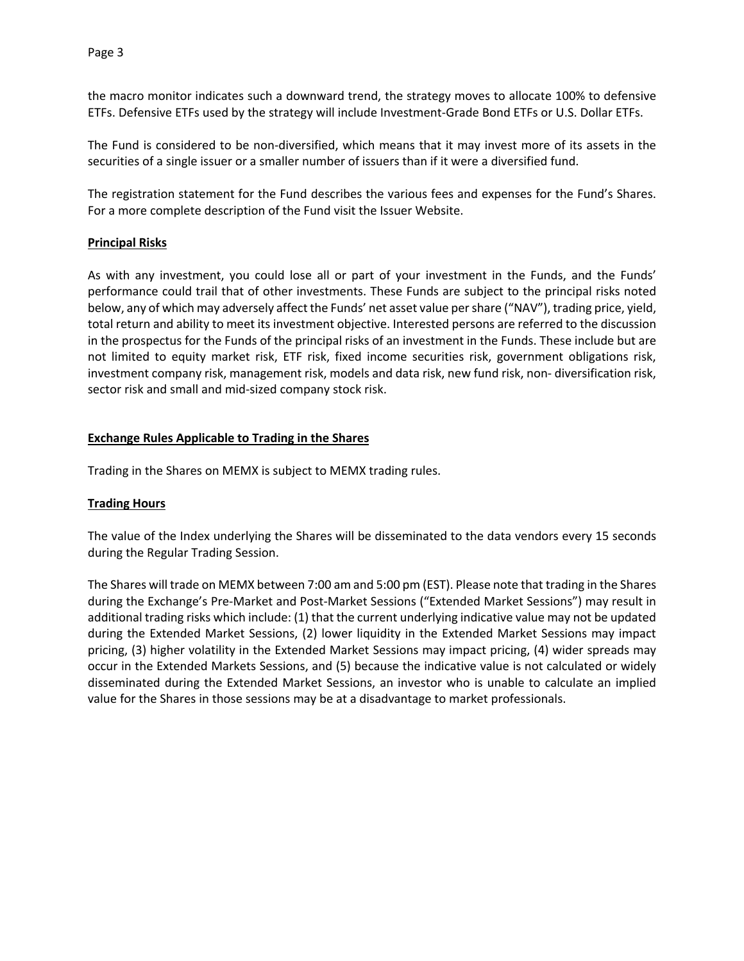the macro monitor indicates such a downward trend, the strategy moves to allocate 100% to defensive ETFs. Defensive ETFs used by the strategy will include Investment-Grade Bond ETFs or U.S. Dollar ETFs.

The Fund is considered to be non-diversified, which means that it may invest more of its assets in the securities of a single issuer or a smaller number of issuers than if it were a diversified fund.

The registration statement for the Fund describes the various fees and expenses for the Fund's Shares. For a more complete description of the Fund visit the Issuer Website.

### **Principal Risks**

As with any investment, you could lose all or part of your investment in the Funds, and the Funds' performance could trail that of other investments. These Funds are subject to the principal risks noted below, any of which may adversely affect the Funds' net asset value per share ("NAV"), trading price, yield, total return and ability to meet its investment objective. Interested persons are referred to the discussion in the prospectus for the Funds of the principal risks of an investment in the Funds. These include but are not limited to equity market risk, ETF risk, fixed income securities risk, government obligations risk, investment company risk, management risk, models and data risk, new fund risk, non- diversification risk, sector risk and small and mid-sized company stock risk.

### **Exchange Rules Applicable to Trading in the Shares**

Trading in the Shares on MEMX is subject to MEMX trading rules.

#### **Trading Hours**

The value of the Index underlying the Shares will be disseminated to the data vendors every 15 seconds during the Regular Trading Session.

The Shares will trade on MEMX between 7:00 am and 5:00 pm (EST). Please note that trading in the Shares during the Exchange's Pre-Market and Post-Market Sessions ("Extended Market Sessions") may result in additional trading risks which include: (1) that the current underlying indicative value may not be updated during the Extended Market Sessions, (2) lower liquidity in the Extended Market Sessions may impact pricing, (3) higher volatility in the Extended Market Sessions may impact pricing, (4) wider spreads may occur in the Extended Markets Sessions, and (5) because the indicative value is not calculated or widely disseminated during the Extended Market Sessions, an investor who is unable to calculate an implied value for the Shares in those sessions may be at a disadvantage to market professionals.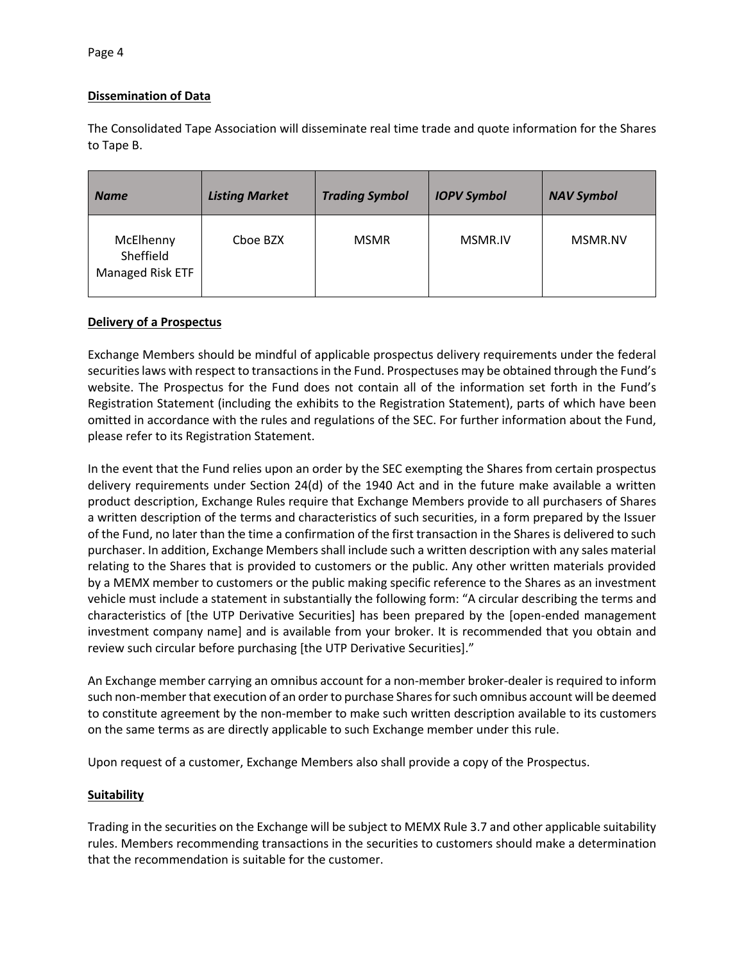# **Dissemination of Data**

The Consolidated Tape Association will disseminate real time trade and quote information for the Shares to Tape B.

| <b>Name</b>                                | <b>Listing Market</b> | <b>Trading Symbol</b> | <b>IOPV Symbol</b> | <b>NAV Symbol</b> |
|--------------------------------------------|-----------------------|-----------------------|--------------------|-------------------|
| McElhenny<br>Sheffield<br>Managed Risk ETF | Cboe BZX              | <b>MSMR</b>           | MSMR.IV            | MSMR.NV           |

## **Delivery of a Prospectus**

Exchange Members should be mindful of applicable prospectus delivery requirements under the federal securities laws with respect to transactions in the Fund. Prospectuses may be obtained through the Fund's website. The Prospectus for the Fund does not contain all of the information set forth in the Fund's Registration Statement (including the exhibits to the Registration Statement), parts of which have been omitted in accordance with the rules and regulations of the SEC. For further information about the Fund, please refer to its Registration Statement.

In the event that the Fund relies upon an order by the SEC exempting the Shares from certain prospectus delivery requirements under Section 24(d) of the 1940 Act and in the future make available a written product description, Exchange Rules require that Exchange Members provide to all purchasers of Shares a written description of the terms and characteristics of such securities, in a form prepared by the Issuer of the Fund, no later than the time a confirmation of the first transaction in the Shares is delivered to such purchaser. In addition, Exchange Members shall include such a written description with any sales material relating to the Shares that is provided to customers or the public. Any other written materials provided by a MEMX member to customers or the public making specific reference to the Shares as an investment vehicle must include a statement in substantially the following form: "A circular describing the terms and characteristics of [the UTP Derivative Securities] has been prepared by the [open-ended management investment company name] and is available from your broker. It is recommended that you obtain and review such circular before purchasing [the UTP Derivative Securities]."

An Exchange member carrying an omnibus account for a non-member broker-dealer is required to inform such non-member that execution of an order to purchase Shares for such omnibus account will be deemed to constitute agreement by the non-member to make such written description available to its customers on the same terms as are directly applicable to such Exchange member under this rule.

Upon request of a customer, Exchange Members also shall provide a copy of the Prospectus.

## **Suitability**

Trading in the securities on the Exchange will be subject to MEMX Rule 3.7 and other applicable suitability rules. Members recommending transactions in the securities to customers should make a determination that the recommendation is suitable for the customer.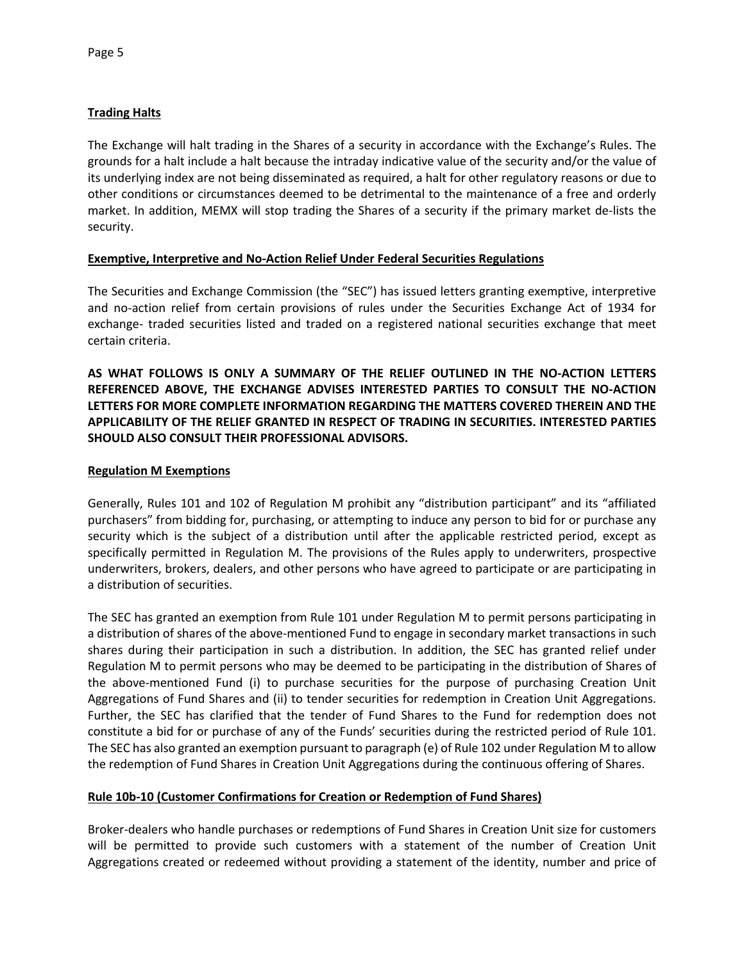# **Trading Halts**

The Exchange will halt trading in the Shares of a security in accordance with the Exchange's Rules. The grounds for a halt include a halt because the intraday indicative value of the security and/or the value of its underlying index are not being disseminated as required, a halt for other regulatory reasons or due to other conditions or circumstances deemed to be detrimental to the maintenance of a free and orderly market. In addition, MEMX will stop trading the Shares of a security if the primary market de-lists the security.

## **Exemptive, Interpretive and No-Action Relief Under Federal Securities Regulations**

The Securities and Exchange Commission (the "SEC") has issued letters granting exemptive, interpretive and no-action relief from certain provisions of rules under the Securities Exchange Act of 1934 for exchange- traded securities listed and traded on a registered national securities exchange that meet certain criteria.

**AS WHAT FOLLOWS IS ONLY A SUMMARY OF THE RELIEF OUTLINED IN THE NO-ACTION LETTERS REFERENCED ABOVE, THE EXCHANGE ADVISES INTERESTED PARTIES TO CONSULT THE NO-ACTION LETTERS FOR MORE COMPLETE INFORMATION REGARDING THE MATTERS COVERED THEREIN AND THE APPLICABILITY OF THE RELIEF GRANTED IN RESPECT OF TRADING IN SECURITIES. INTERESTED PARTIES SHOULD ALSO CONSULT THEIR PROFESSIONAL ADVISORS.**

### **Regulation M Exemptions**

Generally, Rules 101 and 102 of Regulation M prohibit any "distribution participant" and its "affiliated purchasers" from bidding for, purchasing, or attempting to induce any person to bid for or purchase any security which is the subject of a distribution until after the applicable restricted period, except as specifically permitted in Regulation M. The provisions of the Rules apply to underwriters, prospective underwriters, brokers, dealers, and other persons who have agreed to participate or are participating in a distribution of securities.

The SEC has granted an exemption from Rule 101 under Regulation M to permit persons participating in a distribution of shares of the above-mentioned Fund to engage in secondary market transactions in such shares during their participation in such a distribution. In addition, the SEC has granted relief under Regulation M to permit persons who may be deemed to be participating in the distribution of Shares of the above-mentioned Fund (i) to purchase securities for the purpose of purchasing Creation Unit Aggregations of Fund Shares and (ii) to tender securities for redemption in Creation Unit Aggregations. Further, the SEC has clarified that the tender of Fund Shares to the Fund for redemption does not constitute a bid for or purchase of any of the Funds' securities during the restricted period of Rule 101. The SEC has also granted an exemption pursuant to paragraph (e) of Rule 102 under Regulation M to allow the redemption of Fund Shares in Creation Unit Aggregations during the continuous offering of Shares.

## **Rule 10b-10 (Customer Confirmations for Creation or Redemption of Fund Shares)**

Broker-dealers who handle purchases or redemptions of Fund Shares in Creation Unit size for customers will be permitted to provide such customers with a statement of the number of Creation Unit Aggregations created or redeemed without providing a statement of the identity, number and price of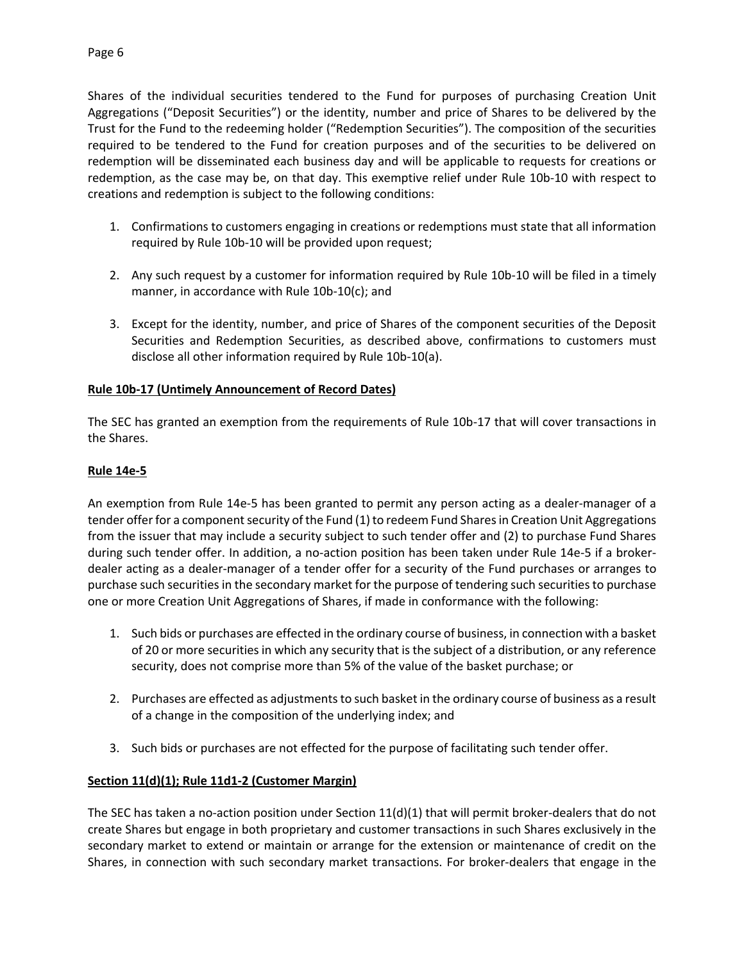Shares of the individual securities tendered to the Fund for purposes of purchasing Creation Unit Aggregations ("Deposit Securities") or the identity, number and price of Shares to be delivered by the Trust for the Fund to the redeeming holder ("Redemption Securities"). The composition of the securities required to be tendered to the Fund for creation purposes and of the securities to be delivered on redemption will be disseminated each business day and will be applicable to requests for creations or redemption, as the case may be, on that day. This exemptive relief under Rule 10b-10 with respect to creations and redemption is subject to the following conditions:

- 1. Confirmations to customers engaging in creations or redemptions must state that all information required by Rule 10b-10 will be provided upon request;
- 2. Any such request by a customer for information required by Rule 10b-10 will be filed in a timely manner, in accordance with Rule 10b-10(c); and
- 3. Except for the identity, number, and price of Shares of the component securities of the Deposit Securities and Redemption Securities, as described above, confirmations to customers must disclose all other information required by Rule 10b-10(a).

# **Rule 10b-17 (Untimely Announcement of Record Dates)**

The SEC has granted an exemption from the requirements of Rule 10b-17 that will cover transactions in the Shares.

# **Rule 14e-5**

An exemption from Rule 14e-5 has been granted to permit any person acting as a dealer-manager of a tender offer for a component security of the Fund (1) to redeem Fund Shares in Creation Unit Aggregations from the issuer that may include a security subject to such tender offer and (2) to purchase Fund Shares during such tender offer. In addition, a no-action position has been taken under Rule 14e-5 if a brokerdealer acting as a dealer-manager of a tender offer for a security of the Fund purchases or arranges to purchase such securities in the secondary market for the purpose of tendering such securities to purchase one or more Creation Unit Aggregations of Shares, if made in conformance with the following:

- 1. Such bids or purchases are effected in the ordinary course of business, in connection with a basket of 20 or more securities in which any security that is the subject of a distribution, or any reference security, does not comprise more than 5% of the value of the basket purchase; or
- 2. Purchases are effected as adjustments to such basket in the ordinary course of business as a result of a change in the composition of the underlying index; and
- 3. Such bids or purchases are not effected for the purpose of facilitating such tender offer.

# **Section 11(d)(1); Rule 11d1-2 (Customer Margin)**

The SEC has taken a no-action position under Section  $11(d)(1)$  that will permit broker-dealers that do not create Shares but engage in both proprietary and customer transactions in such Shares exclusively in the secondary market to extend or maintain or arrange for the extension or maintenance of credit on the Shares, in connection with such secondary market transactions. For broker-dealers that engage in the